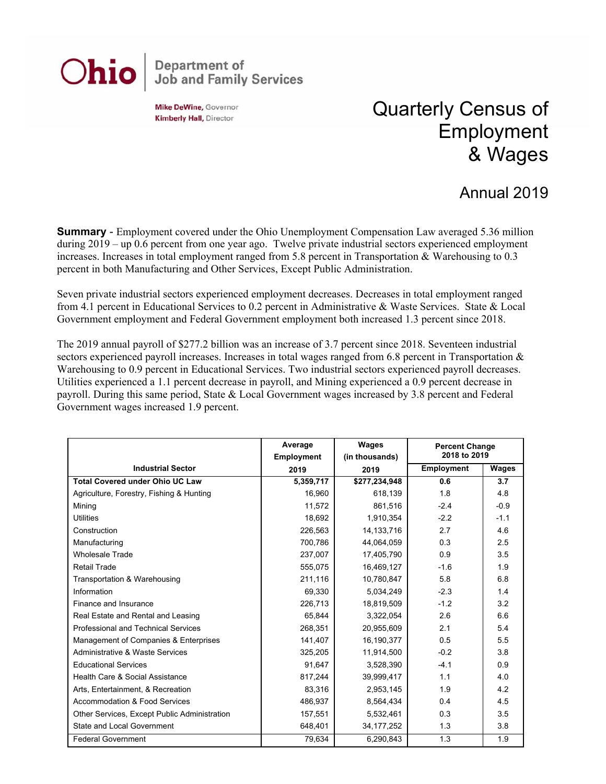

Mike DeWine, Governor **Kimberly Hall, Director** 

## Quarterly Census of Employment & Wages

## Annual 2019

**Summary** - Employment covered under the Ohio Unemployment Compensation Law averaged 5.36 million during 2019 – up 0.6 percent from one year ago. Twelve private industrial sectors experienced employment increases. Increases in total employment ranged from 5.8 percent in Transportation & Warehousing to 0.3 percent in both Manufacturing and Other Services, Except Public Administration.

Seven private industrial sectors experienced employment decreases. Decreases in total employment ranged from 4.1 percent in Educational Services to 0.2 percent in Administrative & Waste Services. State & Local Government employment and Federal Government employment both increased 1.3 percent since 2018.

The 2019 annual payroll of \$277.2 billion was an increase of 3.7 percent since 2018. Seventeen industrial sectors experienced payroll increases. Increases in total wages ranged from 6.8 percent in Transportation & Warehousing to 0.9 percent in Educational Services. Two industrial sectors experienced payroll decreases. Utilities experienced a 1.1 percent decrease in payroll, and Mining experienced a 0.9 percent decrease in payroll. During this same period, State & Local Government wages increased by 3.8 percent and Federal Government wages increased 1.9 percent.

|                                              | Average<br><b>Employment</b> | Wages<br>(in thousands) | <b>Percent Change</b><br>2018 to 2019 |        |
|----------------------------------------------|------------------------------|-------------------------|---------------------------------------|--------|
| <b>Industrial Sector</b>                     | 2019                         | 2019                    | <b>Employment</b>                     | Wages  |
| <b>Total Covered under Ohio UC Law</b>       | 5,359,717                    | \$277,234,948           | 0.6                                   | 3.7    |
| Agriculture, Forestry, Fishing & Hunting     | 16,960                       | 618,139                 | 1.8                                   | 4.8    |
| Mining                                       | 11,572                       | 861,516                 | $-2.4$                                | $-0.9$ |
| <b>Utilities</b>                             | 18,692                       | 1,910,354               | $-2.2$                                | $-1.1$ |
| Construction                                 | 226,563                      | 14, 133, 716            | 2.7                                   | 4.6    |
| Manufacturing                                | 700,786                      | 44,064,059              | 0.3                                   | 2.5    |
| <b>Wholesale Trade</b>                       | 237.007                      | 17,405,790              | 0.9                                   | 3.5    |
| <b>Retail Trade</b>                          | 555,075                      | 16,469,127              | $-1.6$                                | 1.9    |
| Transportation & Warehousing                 | 211,116                      | 10,780,847              | 5.8                                   | 6.8    |
| Information                                  | 69,330                       | 5,034,249               | $-2.3$                                | 1.4    |
| Finance and Insurance                        | 226,713                      | 18,819,509              | $-1.2$                                | 3.2    |
| Real Estate and Rental and Leasing           | 65.844                       | 3,322,054               | 2.6                                   | 6.6    |
| <b>Professional and Technical Services</b>   | 268,351                      | 20,955,609              | 2.1                                   | 5.4    |
| Management of Companies & Enterprises        | 141,407                      | 16,190,377              | 0.5                                   | 5.5    |
| Administrative & Waste Services              | 325,205                      | 11,914,500              | $-0.2$                                | 3.8    |
| <b>Educational Services</b>                  | 91,647                       | 3,528,390               | $-4.1$                                | 0.9    |
| Health Care & Social Assistance              | 817,244                      | 39,999,417              | 1.1                                   | 4.0    |
| Arts, Entertainment, & Recreation            | 83,316                       | 2,953,145               | 1.9                                   | 4.2    |
| Accommodation & Food Services                | 486,937                      | 8,564,434               | 0.4                                   | 4.5    |
| Other Services, Except Public Administration | 157,551                      | 5,532,461               | 0.3                                   | 3.5    |
| State and Local Government                   | 648,401                      | 34, 177, 252            | 1.3                                   | 3.8    |
| <b>Federal Government</b>                    | 79,634                       | 6,290,843               | 1.3                                   | 1.9    |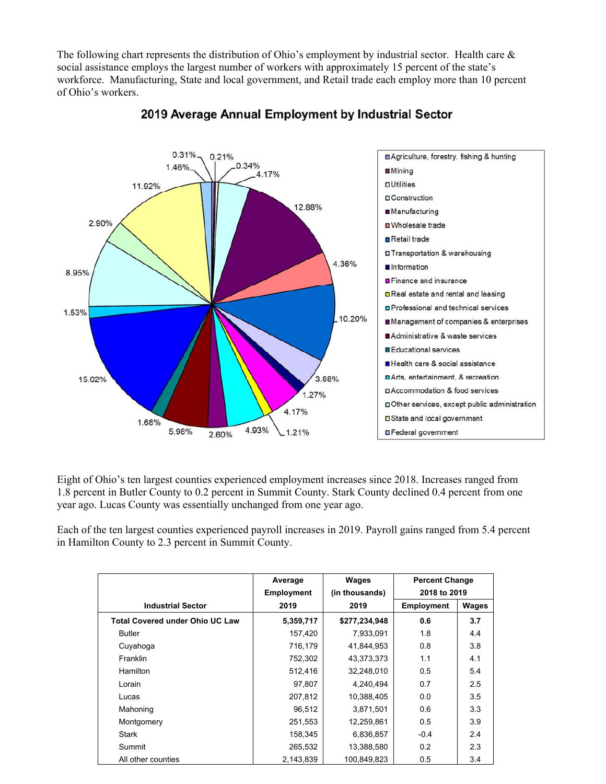The following chart represents the distribution of Ohio's employment by industrial sector. Health care & social assistance employs the largest number of workers with approximately 15 percent of the state's workforce. Manufacturing, State and local government, and Retail trade each employ more than 10 percent of Ohio's workers.



## 2019 Average Annual Employment by Industrial Sector

Eight of Ohio's ten largest counties experienced employment increases since 2018. Increases ranged from 1.8 percent in Butler County to 0.2 percent in Summit County. Stark County declined 0.4 percent from one year ago. Lucas County was essentially unchanged from one year ago.

Each of the ten largest counties experienced payroll increases in 2019. Payroll gains ranged from 5.4 percent in Hamilton County to 2.3 percent in Summit County.

|                                        | Average           | Wages          | <b>Percent Change</b> |       |
|----------------------------------------|-------------------|----------------|-----------------------|-------|
|                                        | <b>Employment</b> | (in thousands) | 2018 to 2019          |       |
| <b>Industrial Sector</b>               | 2019              | 2019           | <b>Employment</b>     | Wages |
| <b>Total Covered under Ohio UC Law</b> | 5,359,717         | \$277,234,948  | 0.6                   | 3.7   |
| <b>Butler</b>                          | 157,420           | 7,933,091      | 1.8                   | 4.4   |
| Cuyahoga                               | 716,179           | 41,844,953     | 0.8                   | 3.8   |
| <b>Franklin</b>                        | 752,302           | 43,373,373     | 1.1                   | 4.1   |
| <b>Hamilton</b>                        | 512,416           | 32,248,010     | 0.5                   | 5.4   |
| Lorain                                 | 97,807            | 4.240.494      | 0.7                   | 2.5   |
| Lucas                                  | 207,812           | 10,388,405     | 0.0                   | 3.5   |
| Mahoning                               | 96,512            | 3,871,501      | 0.6                   | 3.3   |
| Montgomery                             | 251,553           | 12,259,861     | 0.5                   | 3.9   |
| <b>Stark</b>                           | 158,345           | 6,836,857      | $-0.4$                | 2.4   |
| Summit                                 | 265,532           | 13,388,580     | 0.2                   | 2.3   |
| All other counties                     | 2,143,839         | 100.849.823    | 0.5                   | 3.4   |